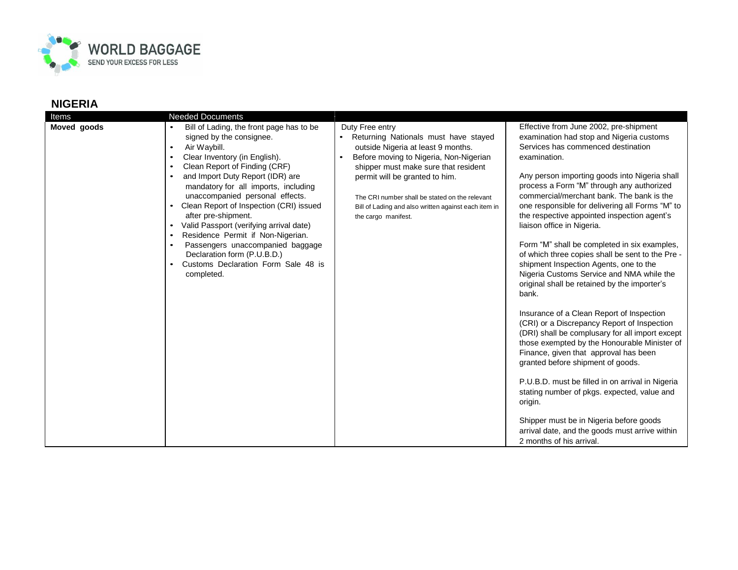

## **NIGERIA**

| Items       | <b>Needed Documents</b>                                                                                                                                                                                                                                                                                                                                                                                                                                                                                                                                                                                                       |                                                                                                                                                                                                                                                                                                                                                    |                                                                                                                                                                                                                                                                                                                                                                                                                                                                                                                                                                                                                                                                                                                                                                                                                                                                                                                                                                                                                                                                                                                                                                                             |
|-------------|-------------------------------------------------------------------------------------------------------------------------------------------------------------------------------------------------------------------------------------------------------------------------------------------------------------------------------------------------------------------------------------------------------------------------------------------------------------------------------------------------------------------------------------------------------------------------------------------------------------------------------|----------------------------------------------------------------------------------------------------------------------------------------------------------------------------------------------------------------------------------------------------------------------------------------------------------------------------------------------------|---------------------------------------------------------------------------------------------------------------------------------------------------------------------------------------------------------------------------------------------------------------------------------------------------------------------------------------------------------------------------------------------------------------------------------------------------------------------------------------------------------------------------------------------------------------------------------------------------------------------------------------------------------------------------------------------------------------------------------------------------------------------------------------------------------------------------------------------------------------------------------------------------------------------------------------------------------------------------------------------------------------------------------------------------------------------------------------------------------------------------------------------------------------------------------------------|
| Moved goods | Bill of Lading, the front page has to be<br>signed by the consignee.<br>Air Waybill.<br>$\bullet$<br>Clear Inventory (in English).<br>$\bullet$<br>Clean Report of Finding (CRF)<br>$\bullet$<br>and Import Duty Report (IDR) are<br>mandatory for all imports, including<br>unaccompanied personal effects.<br>Clean Report of Inspection (CRI) issued<br>after pre-shipment.<br>Valid Passport (verifying arrival date)<br>$\bullet$<br>Residence Permit if Non-Nigerian.<br>$\bullet$<br>Passengers unaccompanied baggage<br>$\bullet$<br>Declaration form (P.U.B.D.)<br>Customs Declaration Form Sale 48 is<br>completed. | Duty Free entry<br>Returning Nationals must have stayed<br>outside Nigeria at least 9 months.<br>Before moving to Nigeria, Non-Nigerian<br>shipper must make sure that resident<br>permit will be granted to him.<br>The CRI number shall be stated on the relevant<br>Bill of Lading and also written against each item in<br>the cargo manifest. | Effective from June 2002, pre-shipment<br>examination had stop and Nigeria customs<br>Services has commenced destination<br>examination.<br>Any person importing goods into Nigeria shall<br>process a Form "M" through any authorized<br>commercial/merchant bank. The bank is the<br>one responsible for delivering all Forms "M" to<br>the respective appointed inspection agent's<br>liaison office in Nigeria.<br>Form "M" shall be completed in six examples,<br>of which three copies shall be sent to the Pre -<br>shipment Inspection Agents, one to the<br>Nigeria Customs Service and NMA while the<br>original shall be retained by the importer's<br>bank.<br>Insurance of a Clean Report of Inspection<br>(CRI) or a Discrepancy Report of Inspection<br>(DRI) shall be complusary for all import except<br>those exempted by the Honourable Minister of<br>Finance, given that approval has been<br>granted before shipment of goods.<br>P.U.B.D. must be filled in on arrival in Nigeria<br>stating number of pkgs. expected, value and<br>origin.<br>Shipper must be in Nigeria before goods<br>arrival date, and the goods must arrive within<br>2 months of his arrival. |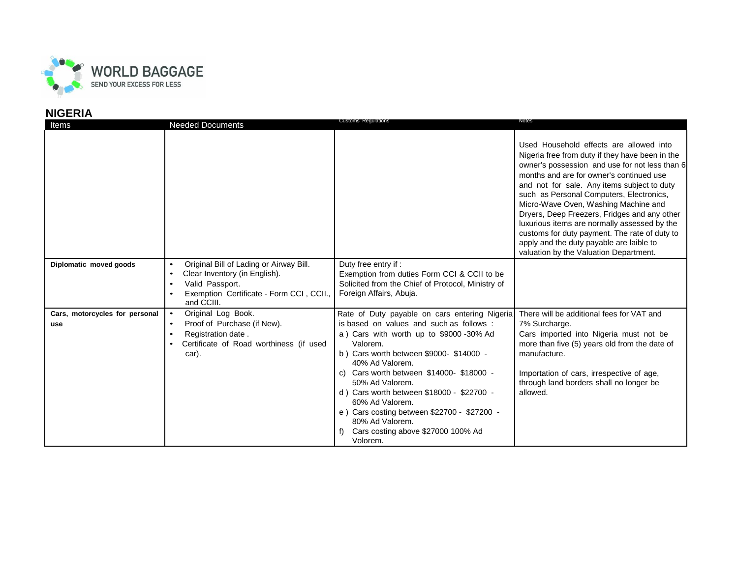

## **NIGERIA**

| Items                                 | <b>Needed Documents</b>                                                                                                                               | <b>Customs Regulations</b>                                                                                                                                                                                                                                                                                                                                                                                                                                   | Notes                                                                                                                                                                                                                                                                                                                                                                                                                                                                                                                                                              |
|---------------------------------------|-------------------------------------------------------------------------------------------------------------------------------------------------------|--------------------------------------------------------------------------------------------------------------------------------------------------------------------------------------------------------------------------------------------------------------------------------------------------------------------------------------------------------------------------------------------------------------------------------------------------------------|--------------------------------------------------------------------------------------------------------------------------------------------------------------------------------------------------------------------------------------------------------------------------------------------------------------------------------------------------------------------------------------------------------------------------------------------------------------------------------------------------------------------------------------------------------------------|
|                                       |                                                                                                                                                       |                                                                                                                                                                                                                                                                                                                                                                                                                                                              | Used Household effects are allowed into<br>Nigeria free from duty if they have been in the<br>owner's possession and use for not less than 6<br>months and are for owner's continued use<br>and not for sale. Any items subject to duty<br>such as Personal Computers, Electronics,<br>Micro-Wave Oven, Washing Machine and<br>Dryers, Deep Freezers, Fridges and any other<br>luxurious items are normally assessed by the<br>customs for duty payment. The rate of duty to<br>apply and the duty payable are laible to<br>valuation by the Valuation Department. |
| Diplomatic moved goods                | Original Bill of Lading or Airway Bill.<br>Clear Inventory (in English).<br>Valid Passport.<br>Exemption Certificate - Form CCI, CCII.,<br>and CCIII. | Duty free entry if :<br>Exemption from duties Form CCI & CCII to be<br>Solicited from the Chief of Protocol, Ministry of<br>Foreign Affairs, Abuja.                                                                                                                                                                                                                                                                                                          |                                                                                                                                                                                                                                                                                                                                                                                                                                                                                                                                                                    |
| Cars, motorcycles for personal<br>use | Original Log Book.<br>Proof of Purchase (if New).<br>Registration date.<br>Certificate of Road worthiness (if used<br>car).                           | Rate of Duty payable on cars entering Nigeria<br>is based on values and such as follows:<br>a) Cars with worth up to \$9000 -30% Ad<br>Valorem.<br>b) Cars worth between \$9000-\$14000 -<br>40% Ad Valorem.<br>Cars worth between \$14000- \$18000 -<br>50% Ad Valorem.<br>d) Cars worth between \$18000 - \$22700 -<br>60% Ad Valorem.<br>e) Cars costing between \$22700 - \$27200 -<br>80% Ad Valorem.<br>Cars costing above \$27000 100% Ad<br>Volorem. | There will be additional fees for VAT and<br>7% Surcharge.<br>Cars imported into Nigeria must not be<br>more than five (5) years old from the date of<br>manufacture.<br>Importation of cars, irrespective of age,<br>through land borders shall no longer be<br>allowed.                                                                                                                                                                                                                                                                                          |